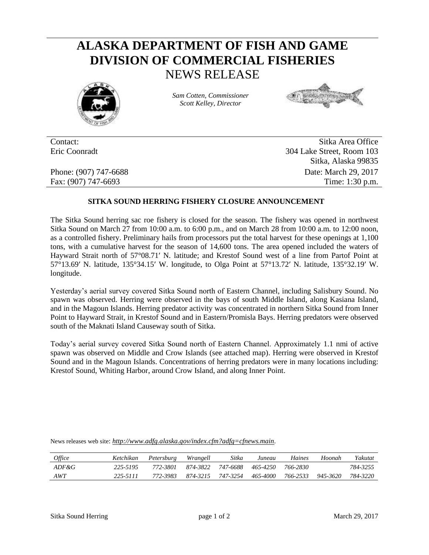## **ALASKA DEPARTMENT OF FISH AND GAME DIVISION OF COMMERCIAL FISHERIES** NEWS RELEASE



*Sam Cotten, Commissioner Scott Kelley, Director*



Contact: Sitka Area Office Eric Coonradt 304 Lake Street, Room 103 Sitka, Alaska 99835 Phone: (907) 747-6688 Date: March 29, 2017 Fax: (907) 747-6693 Time: 1:30 p.m.

## **SITKA SOUND HERRING FISHERY CLOSURE ANNOUNCEMENT**

The Sitka Sound herring sac roe fishery is closed for the season. The fishery was opened in northwest Sitka Sound on March 27 from 10:00 a.m. to 6:00 p.m., and on March 28 from 10:00 a.m. to 12:00 noon, as a controlled fishery. Preliminary hails from processors put the total harvest for these openings at 1,100 tons, with a cumulative harvest for the season of 14,600 tons. The area opened included the waters of Hayward Strait north of 57°08.71′ N. latitude; and Krestof Sound west of a line from Partof Point at 57°13.69′ N. latitude, 135°34.15′ W. longitude, to Olga Point at 57°13.72′ N. latitude, 135°32.19′ W. longitude.

Yesterday's aerial survey covered Sitka Sound north of Eastern Channel, including Salisbury Sound. No spawn was observed. Herring were observed in the bays of south Middle Island, along Kasiana Island, and in the Magoun Islands. Herring predator activity was concentrated in northern Sitka Sound from Inner Point to Hayward Strait, in Krestof Sound and in Eastern/Promisla Bays. Herring predators were observed south of the Maknati Island Causeway south of Sitka.

Today's aerial survey covered Sitka Sound north of Eastern Channel. Approximately 1.1 nmi of active spawn was observed on Middle and Crow Islands (see attached map). Herring were observed in Krestof Sound and in the Magoun Islands. Concentrations of herring predators were in many locations including: Krestof Sound, Whiting Harbor, around Crow Island, and along Inner Point.

| <i>Office</i> | Ketchikan | Petersburg Wrangell |          | Sitka    | Juneau   | Haines   | Hoonah   | Yakutat  |
|---------------|-----------|---------------------|----------|----------|----------|----------|----------|----------|
| $ADF\&G$      | 225-5195  | 772-3801            | 874-3822 | 747-6688 | 465-4250 | 766-2830 |          | 784-3255 |
| AWT           | 225-5111  | 772-3983            | 874-3215 | 747-3254 | 465-4000 | 766-2533 | 945-3620 | 784-3220 |

News releases web site: *http://www.adfg.alaska.gov/index.cfm?adfg=cfnews.main.*